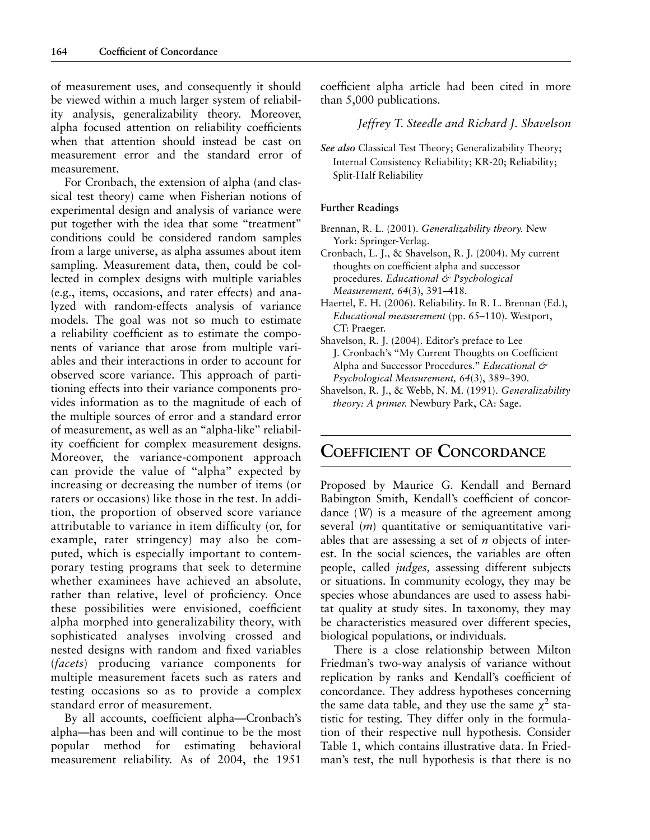of measurement uses, and consequently it should be viewed within a much larger system of reliability analysis, generalizability theory. Moreover, alpha focused attention on reliability coefficients when that attention should instead be cast on measurement error and the standard error of measurement.

For Cronbach, the extension of alpha (and classical test theory) came when Fisherian notions of experimental design and analysis of variance were put together with the idea that some "treatment" conditions could be considered random samples from a large universe, as alpha assumes about item sampling. Measurement data, then, could be collected in complex designs with multiple variables (e.g., items, occasions, and rater effects) and analyzed with random-effects analysis of variance models. The goal was not so much to estimate a reliability coefficient as to estimate the components of variance that arose from multiple variables and their interactions in order to account for observed score variance. This approach of partitioning effects into their variance components provides information as to the magnitude of each of the multiple sources of error and a standard error of measurement, as well as an ''alpha-like'' reliability coefficient for complex measurement designs. Moreover, the variance-component approach can provide the value of "alpha" expected by increasing or decreasing the number of items (or raters or occasions) like those in the test. In addition, the proportion of observed score variance attributable to variance in item difficulty (or, for example, rater stringency) may also be computed, which is especially important to contemporary testing programs that seek to determine whether examinees have achieved an absolute, rather than relative, level of proficiency. Once these possibilities were envisioned, coefficient alpha morphed into generalizability theory, with sophisticated analyses involving crossed and nested designs with random and fixed variables (facets) producing variance components for multiple measurement facets such as raters and testing occasions so as to provide a complex standard error of measurement.

By all accounts, coefficient alpha—Cronbach's alpha—has been and will continue to be the most popular method for estimating behavioral measurement reliability. As of 2004, the 1951

coefficient alpha article had been cited in more than 5,000 publications.

Jeffrey T. Steedle and Richard J. Shavelson

## Further Readings

- Brennan, R. L. (2001). Generalizability theory. New York: Springer-Verlag.
- Cronbach, L. J., & Shavelson, R. J. (2004). My current thoughts on coefficient alpha and successor procedures. Educational & Psychological Measurement, 64(3), 391–418.
- Haertel, E. H. (2006). Reliability. In R. L. Brennan (Ed.), Educational measurement (pp. 65–110). Westport, CT: Praeger.
- Shavelson, R. J. (2004). Editor's preface to Lee J. Cronbach's ''My Current Thoughts on Coefficient Alpha and Successor Procedures." Educational & Psychological Measurement, 64(3), 389–390.
- Shavelson, R. J., & Webb, N. M. (1991). Generalizability theory: A primer. Newbury Park, CA: Sage.

## COEFFICIENT OF CONCORDANCE

Proposed by Maurice G. Kendall and Bernard Babington Smith, Kendall's coefficient of concordance (W) is a measure of the agreement among several (*m*) quantitative or semiquantitative variables that are assessing a set of  $n$  objects of interest. In the social sciences, the variables are often people, called judges, assessing different subjects or situations. In community ecology, they may be species whose abundances are used to assess habitat quality at study sites. In taxonomy, they may be characteristics measured over different species, biological populations, or individuals.

There is a close relationship between Milton Friedman's two-way analysis of variance without replication by ranks and Kendall's coefficient of concordance. They address hypotheses concerning the same data table, and they use the same  $\chi^2$  statistic for testing. They differ only in the formulation of their respective null hypothesis. Consider Table 1, which contains illustrative data. In Friedman's test, the null hypothesis is that there is no

See also Classical Test Theory; Generalizability Theory; Internal Consistency Reliability; KR-20; Reliability; Split-Half Reliability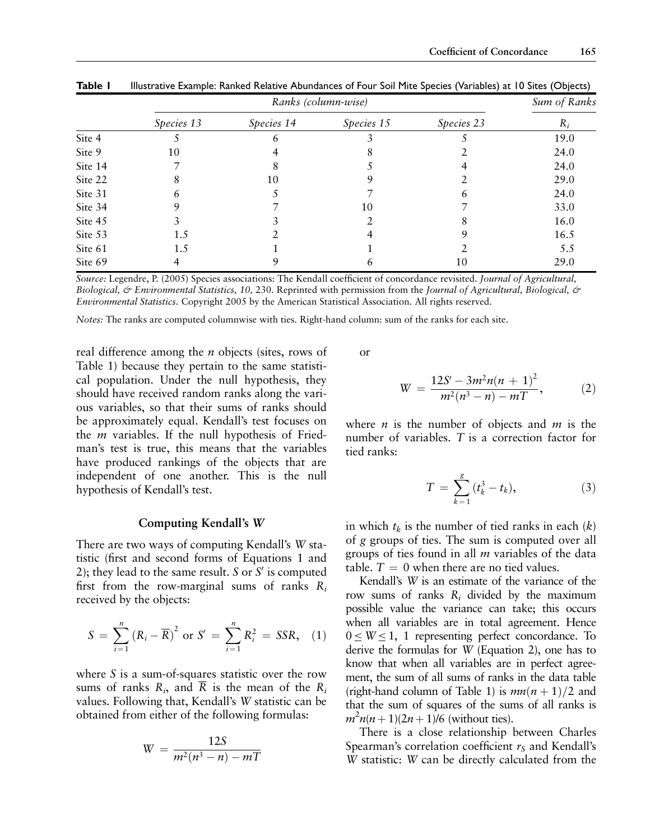|         |            | Sum of Ranks |            |            |       |
|---------|------------|--------------|------------|------------|-------|
|         | Species 13 | Species 14   | Species 15 | Species 23 | $R_i$ |
| Site 4  |            | 6            |            |            | 19.0  |
| Site 9  | 10         |              |            |            | 24.0  |
| Site 14 |            | 8            |            |            | 24.0  |
| Site 22 | 8          | 10           |            |            | 29.0  |
| Site 31 | 6          |              |            | h          | 24.0  |
| Site 34 | 9          |              | 10         |            | 33.0  |
| Site 45 | 3          |              |            |            | 16.0  |
| Site 53 | 1.5        |              |            |            | 16.5  |
| Site 61 | 1.5        |              |            |            | 5.5   |
| Site 69 | 4          |              | 6          | 10         | 29.0  |

Table I Illustrative Example: Ranked Relative Abundances of Four Soil Mite Species (Variables) at 10 Sites (Objects)

Source: Legendre, P. (2005) Species associations: The Kendall coefficient of concordance revisited. Journal of Agricultural, Biological, & Environmental Statistics, 10, 230. Reprinted with permission from the Journal of Agricultural, Biological, & Environmental Statistics. Copyright 2005 by the American Statistical Association. All rights reserved.

Notes: The ranks are computed columnwise with ties. Right-hand column: sum of the ranks for each site.

real difference among the  $n$  objects (sites, rows of Table 1) because they pertain to the same statistical population. Under the null hypothesis, they should have received random ranks along the various variables, so that their sums of ranks should be approximately equal. Kendall's test focuses on the  $m$  variables. If the null hypothesis of Friedman's test is true, this means that the variables have produced rankings of the objects that are independent of one another. This is the null hypothesis of Kendall's test.

## Computing Kendall's W

There are two ways of computing Kendall's W statistic (first and second forms of Equations 1 and 2); they lead to the same result. S or  $S'$  is computed first from the row-marginal sums of ranks  $R_i$ received by the objects:

$$
S = \sum_{i=1}^{n} (R_i - \overline{R})^2 \text{ or } S' = \sum_{i=1}^{n} R_i^2 = SSR, \quad (1)
$$

where  $S$  is a sum-of-squares statistic over the row sums of ranks  $R_i$ , and  $\overline{R}$  is the mean of the  $R_i$ values. Following that, Kendall's W statistic can be obtained from either of the following formulas:

$$
W = \frac{12S}{m^2(n^3 - n) - mT}
$$

or

$$
W = \frac{12S' - 3m^2n(n+1)^2}{m^2(n^3 - n) - mT},
$$
 (2)

where *n* is the number of objects and *m* is the number of variables. T is a correction factor for tied ranks:

$$
T = \sum_{k=1}^{g} (t_k^3 - t_k), \tag{3}
$$

in which  $t_k$  is the number of tied ranks in each  $(k)$ of g groups of ties. The sum is computed over all groups of ties found in all  $m$  variables of the data table.  $T = 0$  when there are no tied values.

Kendall's W is an estimate of the variance of the row sums of ranks  $R_i$  divided by the maximum possible value the variance can take; this occurs when all variables are in total agreement. Hence  $0 \leq W \leq 1$ , 1 representing perfect concordance. To derive the formulas for W (Equation 2), one has to know that when all variables are in perfect agreement, the sum of all sums of ranks in the data table (right-hand column of Table 1) is  $mn(n+1)/2$  and that the sum of squares of the sums of all ranks is  $m^2n(n+1)(2n+1)/6$  (without ties).

There is a close relationship between Charles Spearman's correlation coefficient  $r_S$  and Kendall's W statistic: W can be directly calculated from the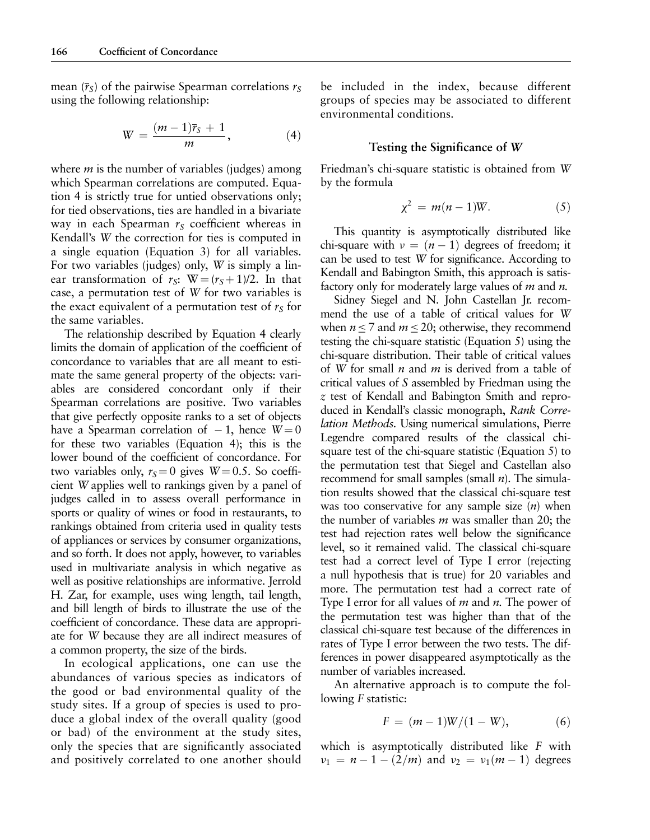mean  $(\bar{r}_s)$  of the pairwise Spearman correlations  $r_s$ using the following relationship:

$$
W = \frac{(m-1)\overline{r}_S + 1}{m}, \tag{4}
$$

where  $m$  is the number of variables (judges) among which Spearman correlations are computed. Equation 4 is strictly true for untied observations only; for tied observations, ties are handled in a bivariate way in each Spearman  $r<sub>S</sub>$  coefficient whereas in Kendall's W the correction for ties is computed in a single equation (Equation 3) for all variables. For two variables (judges) only, W is simply a linear transformation of  $r_S$ :  $W = (r_S + 1)/2$ . In that case, a permutation test of W for two variables is the exact equivalent of a permutation test of  $r<sub>S</sub>$  for the same variables.

The relationship described by Equation 4 clearly limits the domain of application of the coefficient of concordance to variables that are all meant to estimate the same general property of the objects: variables are considered concordant only if their Spearman correlations are positive. Two variables that give perfectly opposite ranks to a set of objects have a Spearman correlation of  $-1$ , hence  $W=0$ for these two variables (Equation 4); this is the lower bound of the coefficient of concordance. For two variables only,  $r_s = 0$  gives  $W = 0.5$ . So coefficient W applies well to rankings given by a panel of judges called in to assess overall performance in sports or quality of wines or food in restaurants, to rankings obtained from criteria used in quality tests of appliances or services by consumer organizations, and so forth. It does not apply, however, to variables used in multivariate analysis in which negative as well as positive relationships are informative. Jerrold H. Zar, for example, uses wing length, tail length, and bill length of birds to illustrate the use of the coefficient of concordance. These data are appropriate for W because they are all indirect measures of a common property, the size of the birds.

In ecological applications, one can use the abundances of various species as indicators of the good or bad environmental quality of the study sites. If a group of species is used to produce a global index of the overall quality (good or bad) of the environment at the study sites, only the species that are significantly associated and positively correlated to one another should be included in the index, because different groups of species may be associated to different environmental conditions.

## Testing the Significance of W

Friedman's chi-square statistic is obtained from W by the formula

$$
\chi^2 = m(n-1)W.\tag{5}
$$

This quantity is asymptotically distributed like chi-square with  $v = (n - 1)$  degrees of freedom; it can be used to test W for significance. According to Kendall and Babington Smith, this approach is satisfactory only for moderately large values of  $m$  and  $n$ .

Sidney Siegel and N. John Castellan Jr. recommend the use of a table of critical values for W when  $n \le 7$  and  $m \le 20$ ; otherwise, they recommend testing the chi-square statistic (Equation 5) using the chi-square distribution. Their table of critical values of W for small *n* and *m* is derived from a table of critical values of S assembled by Friedman using the z test of Kendall and Babington Smith and reproduced in Kendall's classic monograph, Rank Correlation Methods. Using numerical simulations, Pierre Legendre compared results of the classical chisquare test of the chi-square statistic (Equation 5) to the permutation test that Siegel and Castellan also recommend for small samples (small  $n$ ). The simulation results showed that the classical chi-square test was too conservative for any sample size  $(n)$  when the number of variables  $m$  was smaller than 20; the test had rejection rates well below the significance level, so it remained valid. The classical chi-square test had a correct level of Type I error (rejecting a null hypothesis that is true) for 20 variables and more. The permutation test had a correct rate of Type I error for all values of  $m$  and  $n$ . The power of the permutation test was higher than that of the classical chi-square test because of the differences in rates of Type I error between the two tests. The differences in power disappeared asymptotically as the number of variables increased.

An alternative approach is to compute the following *F* statistic:

$$
F = (m-1)W/(1-W), \tag{6}
$$

which is asymptotically distributed like F with  $v_1 = n - 1 - (2/m)$  and  $v_2 = v_1(m - 1)$  degrees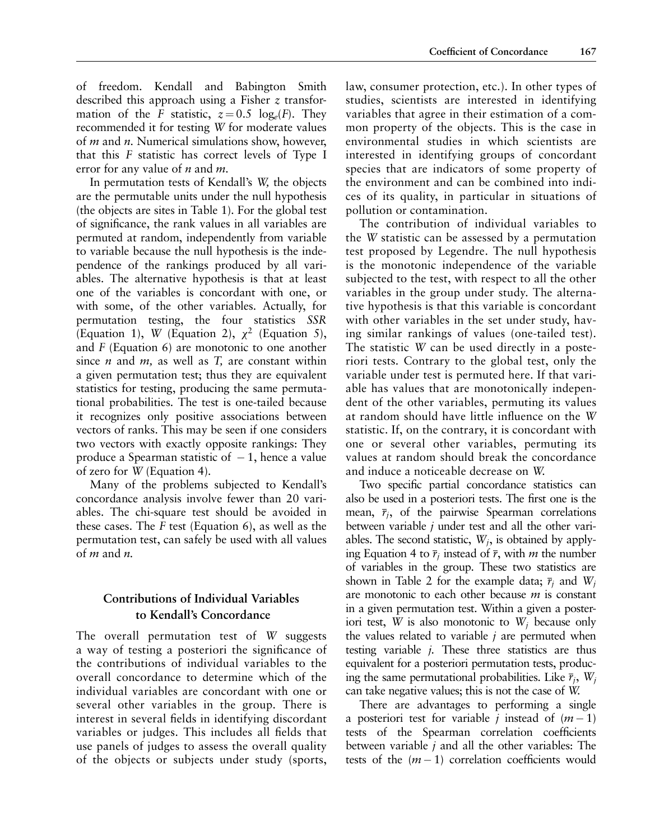of freedom. Kendall and Babington Smith described this approach using a Fisher z transformation of the F statistic,  $z=0.5 \log_e(F)$ . They recommended it for testing W for moderate values of  $m$  and  $n$ . Numerical simulations show, however, that this F statistic has correct levels of Type I error for any value of  $n$  and  $m$ .

In permutation tests of Kendall's W, the objects are the permutable units under the null hypothesis (the objects are sites in Table 1). For the global test of significance, the rank values in all variables are permuted at random, independently from variable to variable because the null hypothesis is the independence of the rankings produced by all variables. The alternative hypothesis is that at least one of the variables is concordant with one, or with some, of the other variables. Actually, for permutation testing, the four statistics SSR (Equation 1), W (Equation 2),  $\chi^2$  (Equation 5), and  $F$  (Equation 6) are monotonic to one another since  $n$  and  $m$ , as well as  $T$ , are constant within a given permutation test; thus they are equivalent statistics for testing, producing the same permutational probabilities. The test is one-tailed because it recognizes only positive associations between vectors of ranks. This may be seen if one considers two vectors with exactly opposite rankings: They produce a Spearman statistic of  $-1$ , hence a value of zero for W (Equation 4).

Many of the problems subjected to Kendall's concordance analysis involve fewer than 20 variables. The chi-square test should be avoided in these cases. The  $F$  test (Equation 6), as well as the permutation test, can safely be used with all values of  $m$  and  $n$ .

## Contributions of Individual Variables to Kendall's Concordance

The overall permutation test of W suggests a way of testing a posteriori the significance of the contributions of individual variables to the overall concordance to determine which of the individual variables are concordant with one or several other variables in the group. There is interest in several fields in identifying discordant variables or judges. This includes all fields that use panels of judges to assess the overall quality of the objects or subjects under study (sports,

law, consumer protection, etc.). In other types of studies, scientists are interested in identifying variables that agree in their estimation of a common property of the objects. This is the case in environmental studies in which scientists are interested in identifying groups of concordant species that are indicators of some property of the environment and can be combined into indices of its quality, in particular in situations of pollution or contamination.

The contribution of individual variables to the W statistic can be assessed by a permutation test proposed by Legendre. The null hypothesis is the monotonic independence of the variable subjected to the test, with respect to all the other variables in the group under study. The alternative hypothesis is that this variable is concordant with other variables in the set under study, having similar rankings of values (one-tailed test). The statistic W can be used directly in a posteriori tests. Contrary to the global test, only the variable under test is permuted here. If that variable has values that are monotonically independent of the other variables, permuting its values at random should have little influence on the W statistic. If, on the contrary, it is concordant with one or several other variables, permuting its values at random should break the concordance and induce a noticeable decrease on W.

Two specific partial concordance statistics can also be used in a posteriori tests. The first one is the mean,  $\overline{r}_i$ , of the pairwise Spearman correlations between variable  $j$  under test and all the other variables. The second statistic,  $W_j$ , is obtained by applying Equation 4 to  $\overline{r}_i$  instead of  $\overline{r}_i$ , with *m* the number of variables in the group. These two statistics are shown in Table 2 for the example data;  $\overline{r}_i$  and  $W_i$ are monotonic to each other because *m* is constant in a given permutation test. Within a given a posteriori test, W is also monotonic to  $W_i$  because only the values related to variable  $j$  are permuted when testing variable  $j$ . These three statistics are thus equivalent for a posteriori permutation tests, producing the same permutational probabilities. Like  $\overline{r}_i$ , W<sub>i</sub> can take negative values; this is not the case of W.

There are advantages to performing a single a posteriori test for variable *i* instead of  $(m - 1)$ tests of the Spearman correlation coefficients between variable  $j$  and all the other variables: The tests of the  $(m - 1)$  correlation coefficients would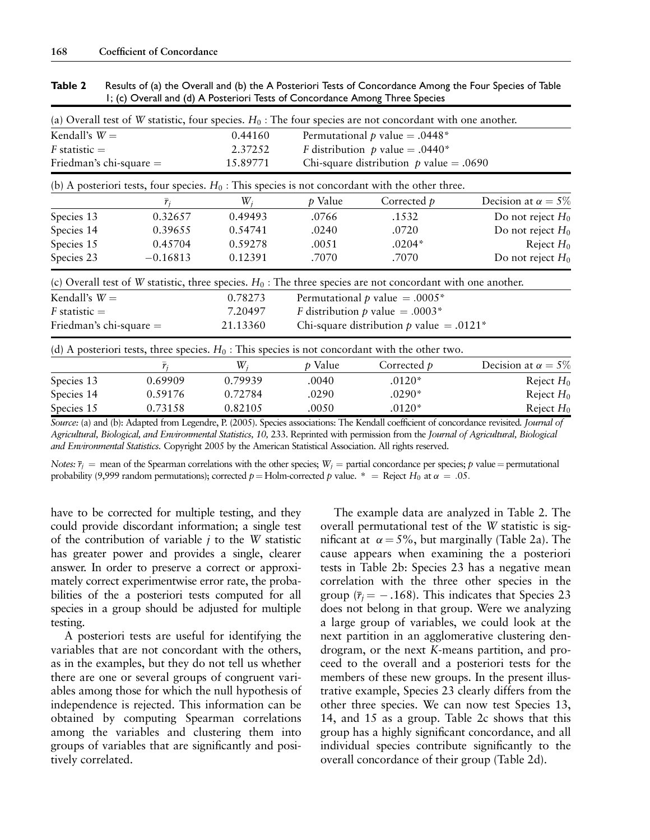| Table 2 | Results of (a) the Overall and (b) the A Posteriori Tests of Concordance Among the Four Species of Table |
|---------|----------------------------------------------------------------------------------------------------------|
|         | I; (c) Overall and (d) A Posteriori Tests of Concordance Among Three Species                             |

|                                                                   |             |                                               |                                                                                            | (a) Overall test of W statistic, four species. $H_0$ : The four species are not concordant with one another.   |                            |  |
|-------------------------------------------------------------------|-------------|-----------------------------------------------|--------------------------------------------------------------------------------------------|----------------------------------------------------------------------------------------------------------------|----------------------------|--|
| Kendall's $W =$<br>$F$ statistic $=$<br>Friedman's chi-square $=$ |             | 0.44160                                       |                                                                                            | Permutational p value = .0448*                                                                                 |                            |  |
|                                                                   |             | 2.37252                                       | <i>F</i> distribution <i>p</i> value = .0440*<br>Chi-square distribution $p$ value = .0690 |                                                                                                                |                            |  |
|                                                                   |             | 15.89771                                      |                                                                                            |                                                                                                                |                            |  |
|                                                                   |             |                                               |                                                                                            | (b) A posteriori tests, four species. $H_0$ : This species is not concordant with the other three.             |                            |  |
|                                                                   | $\bar{r}_i$ | $W_i$                                         | p Value                                                                                    | Corrected $p$                                                                                                  | Decision at $\alpha = 5\%$ |  |
| Species 13                                                        | 0.32657     | 0.49493                                       | .0766                                                                                      | .1532                                                                                                          | Do not reject $H_0$        |  |
| Species 14                                                        | 0.39655     | 0.54741                                       | .0240                                                                                      | .0720                                                                                                          | Do not reject $H_0$        |  |
| Species 15                                                        | 0.45704     | 0.59278                                       | .0051                                                                                      | $.0204*$                                                                                                       | Reject $H_0$               |  |
| Species 23                                                        | $-0.16813$  | 0.12391                                       | .7070                                                                                      | .7070                                                                                                          | Do not reject $H_0$        |  |
|                                                                   |             |                                               |                                                                                            | (c) Overall test of W statistic, three species. $H_0$ : The three species are not concordant with one another. |                            |  |
| Kendall's $W =$<br>0.78273                                        |             |                                               | Permutational p value = .0005*                                                             |                                                                                                                |                            |  |
| 7.20497<br>$F$ statistic $=$                                      |             | <i>F</i> distribution <i>p</i> value = .0003* |                                                                                            |                                                                                                                |                            |  |
| Friedman's chi-square =                                           |             | 21.13360                                      |                                                                                            | Chi-square distribution $p$ value = .0121*                                                                     |                            |  |
|                                                                   |             |                                               |                                                                                            | (d) A posteriori tests, three species. $H_0$ : This species is not concordant with the other two.              |                            |  |
|                                                                   | $r_i$       | $W_i$                                         | $p$ Value                                                                                  | Corrected $p$                                                                                                  | Decision at $\alpha = 5\%$ |  |
| Species 13                                                        | 0.69909     | 0.79939                                       | .0040                                                                                      | $.0120*$                                                                                                       | Reject $H_0$               |  |
| Species 14                                                        | 0.59176     | 0.72784                                       | .0290                                                                                      | $.0290*$                                                                                                       | Reject $H_0$               |  |
| Species 15                                                        | 0.73158     | 0.82105                                       | .0050                                                                                      | $.0120*$                                                                                                       | Reject $H_0$               |  |

Source: (a) and (b): Adapted from Legendre, P. (2005). Species associations: The Kendall coefficient of concordance revisited. Journal of Agricultural, Biological, and Environmental Statistics, 10, 233. Reprinted with permission from the Journal of Agricultural, Biological and Environmental Statistics. Copyright 2005 by the American Statistical Association. All rights reserved.

Notes:  $\overline{r}_i$  = mean of the Spearman correlations with the other species;  $W_i$  = partial concordance per species; p value = permutational probability (9,999 random permutations); corrected  $p =$  Holm-corrected p value. \* = Reject H<sub>0</sub> at  $\alpha = .05$ .

have to be corrected for multiple testing, and they could provide discordant information; a single test of the contribution of variable  $j$  to the W statistic has greater power and provides a single, clearer answer. In order to preserve a correct or approximately correct experimentwise error rate, the probabilities of the a posteriori tests computed for all species in a group should be adjusted for multiple testing.

A posteriori tests are useful for identifying the variables that are not concordant with the others, as in the examples, but they do not tell us whether there are one or several groups of congruent variables among those for which the null hypothesis of independence is rejected. This information can be obtained by computing Spearman correlations among the variables and clustering them into groups of variables that are significantly and positively correlated.

The example data are analyzed in Table 2. The overall permutational test of the W statistic is significant at  $\alpha = 5\%$ , but marginally (Table 2a). The cause appears when examining the a posteriori tests in Table 2b: Species 23 has a negative mean correlation with the three other species in the group ( $\bar{r}_i = -.168$ ). This indicates that Species 23 does not belong in that group. Were we analyzing a large group of variables, we could look at the next partition in an agglomerative clustering dendrogram, or the next K-means partition, and proceed to the overall and a posteriori tests for the members of these new groups. In the present illustrative example, Species 23 clearly differs from the other three species. We can now test Species 13, 14, and 15 as a group. Table 2c shows that this group has a highly significant concordance, and all individual species contribute significantly to the overall concordance of their group (Table 2d).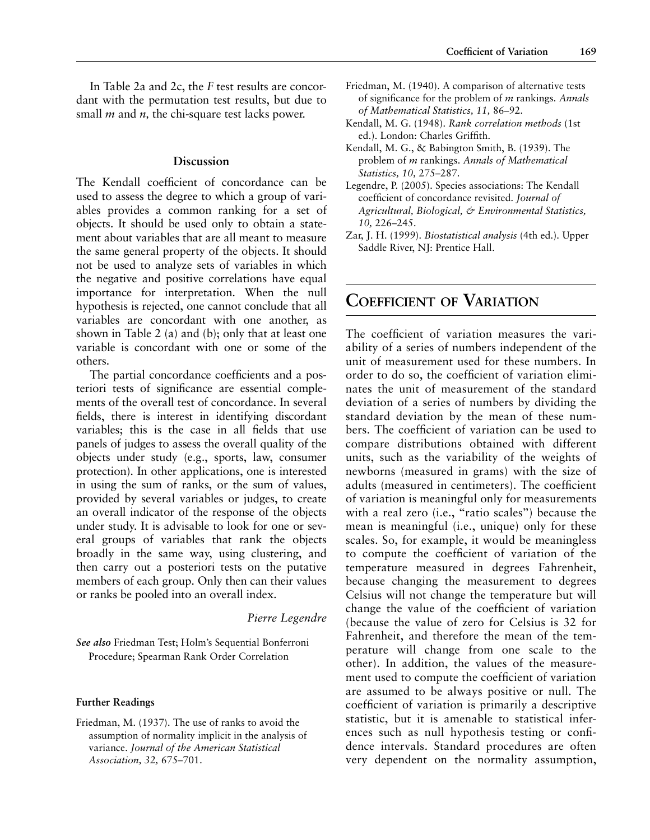In Table 2a and 2c, the F test results are concordant with the permutation test results, but due to small  $m$  and  $n$ , the chi-square test lacks power.

## Discussion

The Kendall coefficient of concordance can be used to assess the degree to which a group of variables provides a common ranking for a set of objects. It should be used only to obtain a statement about variables that are all meant to measure the same general property of the objects. It should not be used to analyze sets of variables in which the negative and positive correlations have equal importance for interpretation. When the null hypothesis is rejected, one cannot conclude that all variables are concordant with one another, as shown in Table 2 (a) and (b); only that at least one variable is concordant with one or some of the others.

The partial concordance coefficients and a posteriori tests of significance are essential complements of the overall test of concordance. In several fields, there is interest in identifying discordant variables; this is the case in all fields that use panels of judges to assess the overall quality of the objects under study (e.g., sports, law, consumer protection). In other applications, one is interested in using the sum of ranks, or the sum of values, provided by several variables or judges, to create an overall indicator of the response of the objects under study. It is advisable to look for one or several groups of variables that rank the objects broadly in the same way, using clustering, and then carry out a posteriori tests on the putative members of each group. Only then can their values or ranks be pooled into an overall index.

Pierre Legendre

See also Friedman Test; Holm's Sequential Bonferroni Procedure; Spearman Rank Order Correlation

#### Further Readings

Friedman, M. (1937). The use of ranks to avoid the assumption of normality implicit in the analysis of variance. Journal of the American Statistical Association, 32, 675–701.

- Friedman, M. (1940). A comparison of alternative tests of significance for the problem of  $m$  rankings. Annals of Mathematical Statistics, 11, 86–92.
- Kendall, M. G. (1948). Rank correlation methods (1st ed.). London: Charles Griffith.
- Kendall, M. G., & Babington Smith, B. (1939). The problem of m rankings. Annals of Mathematical Statistics, 10, 275–287.
- Legendre, P. (2005). Species associations: The Kendall coefficient of concordance revisited. Journal of Agricultural, Biological, & Environmental Statistics, 10, 226–245.
- Zar, J. H. (1999). Biostatistical analysis (4th ed.). Upper Saddle River, NJ: Prentice Hall.

# COEFFICIENT OF VARIATION

The coefficient of variation measures the variability of a series of numbers independent of the unit of measurement used for these numbers. In order to do so, the coefficient of variation eliminates the unit of measurement of the standard deviation of a series of numbers by dividing the standard deviation by the mean of these numbers. The coefficient of variation can be used to compare distributions obtained with different units, such as the variability of the weights of newborns (measured in grams) with the size of adults (measured in centimeters). The coefficient of variation is meaningful only for measurements with a real zero (i.e., "ratio scales") because the mean is meaningful (i.e., unique) only for these scales. So, for example, it would be meaningless to compute the coefficient of variation of the temperature measured in degrees Fahrenheit, because changing the measurement to degrees Celsius will not change the temperature but will change the value of the coefficient of variation (because the value of zero for Celsius is 32 for Fahrenheit, and therefore the mean of the temperature will change from one scale to the other). In addition, the values of the measurement used to compute the coefficient of variation are assumed to be always positive or null. The coefficient of variation is primarily a descriptive statistic, but it is amenable to statistical inferences such as null hypothesis testing or confidence intervals. Standard procedures are often very dependent on the normality assumption,